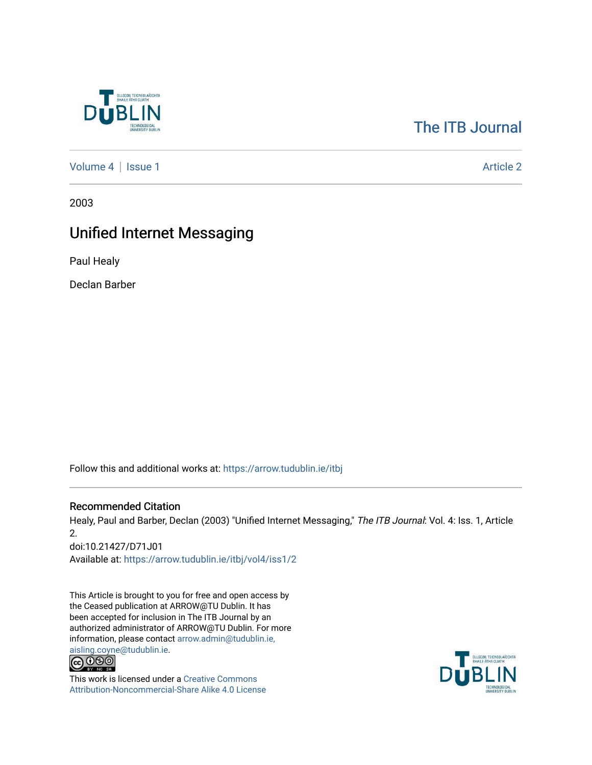

# [The ITB Journal](https://arrow.tudublin.ie/itbj)

[Volume 4](https://arrow.tudublin.ie/itbj/vol4) | [Issue 1](https://arrow.tudublin.ie/itbj/vol4/iss1) Article 2

2003

# Unified Internet Messaging

Paul Healy

Declan Barber

Follow this and additional works at: [https://arrow.tudublin.ie/itbj](https://arrow.tudublin.ie/itbj?utm_source=arrow.tudublin.ie%2Fitbj%2Fvol4%2Fiss1%2F2&utm_medium=PDF&utm_campaign=PDFCoverPages) 

# Recommended Citation

Healy, Paul and Barber, Declan (2003) "Unified Internet Messaging," The ITB Journal: Vol. 4: Iss. 1, Article 2.

doi:10.21427/D71J01 Available at: [https://arrow.tudublin.ie/itbj/vol4/iss1/2](https://arrow.tudublin.ie/itbj/vol4/iss1/2?utm_source=arrow.tudublin.ie%2Fitbj%2Fvol4%2Fiss1%2F2&utm_medium=PDF&utm_campaign=PDFCoverPages) 

This Article is brought to you for free and open access by the Ceased publication at ARROW@TU Dublin. It has been accepted for inclusion in The ITB Journal by an authorized administrator of ARROW@TU Dublin. For more information, please contact [arrow.admin@tudublin.ie,](mailto:arrow.admin@tudublin.ie,%20aisling.coyne@tudublin.ie) 



This work is licensed under a [Creative Commons](http://creativecommons.org/licenses/by-nc-sa/4.0/) [Attribution-Noncommercial-Share Alike 4.0 License](http://creativecommons.org/licenses/by-nc-sa/4.0/)

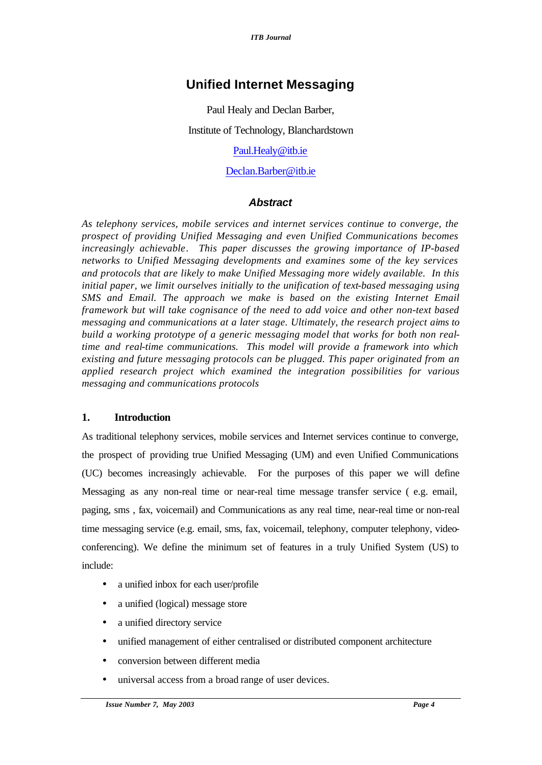# **Unified Internet Messaging**

Paul Healy and Declan Barber,

Institute of Technology, Blanchardstown

Paul.Healy@itb.ie

# Declan.Barber@itb.ie

# *Abstract*

*As telephony services, mobile services and internet services continue to converge, the prospect of providing Unified Messaging and even Unified Communications becomes increasingly achievable. This paper discusses the growing importance of IP-based networks to Unified Messaging developments and examines some of the key services and protocols that are likely to make Unified Messaging more widely available. In this initial paper, we limit ourselves initially to the unification of text-based messaging using SMS and Email. The approach we make is based on the existing Internet Email framework but will take cognisance of the need to add voice and other non-text based messaging and communications at a later stage. Ultimately, the research project aims to build a working prototype of a generic messaging model that works for both non realtime and real-time communications. This model will provide a framework into which existing and future messaging protocols can be plugged. This paper originated from an applied research project which examined the integration possibilities for various messaging and communications protocols*

# **1. Introduction**

As traditional telephony services, mobile services and Internet services continue to converge, the prospect of providing true Unified Messaging (UM) and even Unified Communications (UC) becomes increasingly achievable. For the purposes of this paper we will define Messaging as any non-real time or near-real time message transfer service (e.g. email, paging, sms , fax, voicemail) and Communications as any real time, near-real time or non-real time messaging service (e.g. email, sms, fax, voicemail, telephony, computer telephony, videoconferencing). We define the minimum set of features in a truly Unified System (US) to include:

- a unified inbox for each user/profile
- a unified (logical) message store
- a unified directory service
- unified management of either centralised or distributed component architecture
- conversion between different media
- universal access from a broad range of user devices.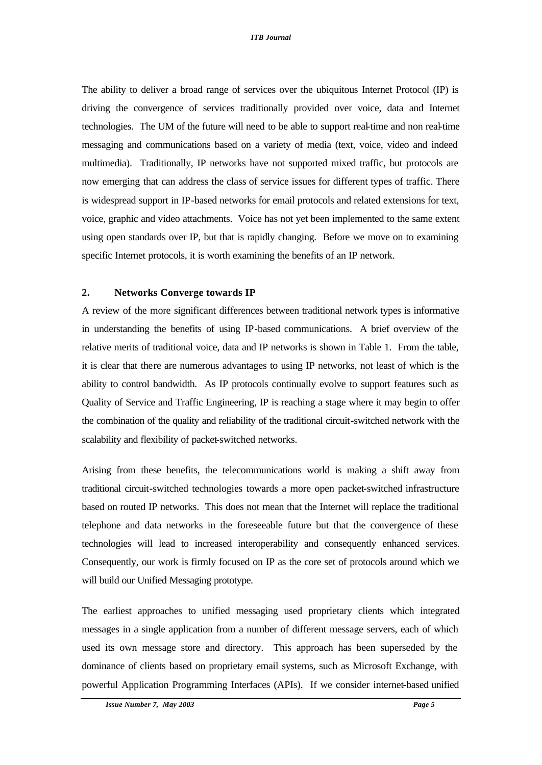The ability to deliver a broad range of services over the ubiquitous Internet Protocol (IP) is driving the convergence of services traditionally provided over voice, data and Internet technologies. The UM of the future will need to be able to support real-time and non real-time messaging and communications based on a variety of media (text, voice, video and indeed multimedia). Traditionally, IP networks have not supported mixed traffic, but protocols are now emerging that can address the class of service issues for different types of traffic. There is widespread support in IP-based networks for email protocols and related extensions for text, voice, graphic and video attachments. Voice has not yet been implemented to the same extent using open standards over IP, but that is rapidly changing. Before we move on to examining specific Internet protocols, it is worth examining the benefits of an IP network.

# **2. Networks Converge towards IP**

A review of the more significant differences between traditional network types is informative in understanding the benefits of using IP-based communications. A brief overview of the relative merits of traditional voice, data and IP networks is shown in Table 1. From the table, it is clear that there are numerous advantages to using IP networks, not least of which is the ability to control bandwidth. As IP protocols continually evolve to support features such as Quality of Service and Traffic Engineering, IP is reaching a stage where it may begin to offer the combination of the quality and reliability of the traditional circuit-switched network with the scalability and flexibility of packet-switched networks.

Arising from these benefits, the telecommunications world is making a shift away from traditional circuit-switched technologies towards a more open packet-switched infrastructure based on routed IP networks. This does not mean that the Internet will replace the traditional telephone and data networks in the foreseeable future but that the convergence of these technologies will lead to increased interoperability and consequently enhanced services. Consequently, our work is firmly focused on IP as the core set of protocols around which we will build our Unified Messaging prototype.

The earliest approaches to unified messaging used proprietary clients which integrated messages in a single application from a number of different message servers, each of which used its own message store and directory. This approach has been superseded by the dominance of clients based on proprietary email systems, such as Microsoft Exchange, with powerful Application Programming Interfaces (APIs). If we consider internet-based unified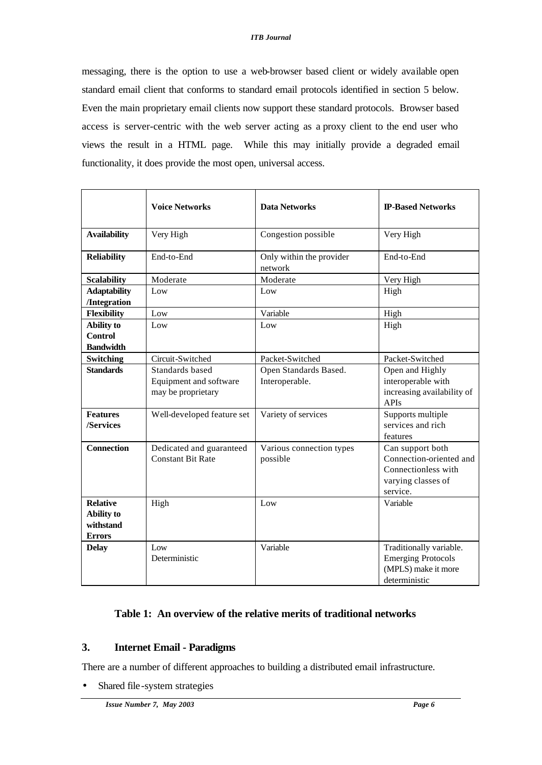messaging, there is the option to use a web-browser based client or widely available open standard email client that conforms to standard email protocols identified in section 5 below. Even the main proprietary email clients now support these standard protocols. Browser based access is server-centric with the web server acting as a proxy client to the end user who views the result in a HTML page. While this may initially provide a degraded email functionality, it does provide the most open, universal access.

|                                                                    | <b>Voice Networks</b>                                           | <b>Data Networks</b>                    | <b>IP-Based Networks</b>                                                                             |
|--------------------------------------------------------------------|-----------------------------------------------------------------|-----------------------------------------|------------------------------------------------------------------------------------------------------|
| <b>Availability</b>                                                | Very High                                                       | Congestion possible                     | Very High                                                                                            |
| <b>Reliability</b>                                                 | End-to-End                                                      | Only within the provider<br>network     | End-to-End                                                                                           |
| <b>Scalability</b>                                                 | Moderate                                                        | Moderate                                | Very High                                                                                            |
| <b>Adaptability</b><br>/Integration                                | Low                                                             | Low                                     | High                                                                                                 |
| <b>Flexibility</b>                                                 | $_{\text{Low}}$                                                 | Variable                                | High                                                                                                 |
| <b>Ability to</b><br><b>Control</b><br><b>Bandwidth</b>            | Low                                                             | Low                                     | High                                                                                                 |
| Switching                                                          | Circuit-Switched                                                | Packet-Switched                         | Packet-Switched                                                                                      |
| <b>Standards</b>                                                   | Standards based<br>Equipment and software<br>may be proprietary | Open Standards Based.<br>Interoperable. | Open and Highly<br>interoperable with<br>increasing availability of<br>APIs                          |
| <b>Features</b><br>/Services                                       | Well-developed feature set                                      | Variety of services                     | Supports multiple<br>services and rich<br>features                                                   |
| <b>Connection</b>                                                  | Dedicated and guaranteed<br><b>Constant Bit Rate</b>            | Various connection types<br>possible    | Can support both<br>Connection-oriented and<br>Connectionless with<br>varying classes of<br>service. |
| <b>Relative</b><br><b>Ability to</b><br>withstand<br><b>Errors</b> | High                                                            | Low                                     | Variable                                                                                             |
| <b>Delay</b>                                                       | Low<br>Deterministic                                            | Variable                                | Traditionally variable.<br><b>Emerging Protocols</b><br>(MPLS) make it more<br>deterministic         |

# **Table 1: An overview of the relative merits of traditional networks**

# **3. Internet Email - Paradigms**

There are a number of different approaches to building a distributed email infrastructure.

• Shared file-system strategies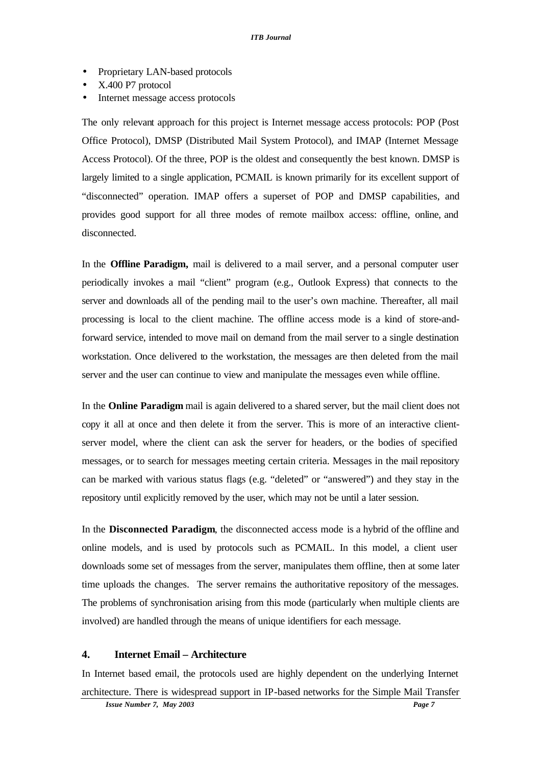- Proprietary LAN-based protocols
- X.400 P7 protocol
- Internet message access protocols

The only relevant approach for this project is Internet message access protocols: POP (Post Office Protocol), DMSP (Distributed Mail System Protocol), and IMAP (Internet Message Access Protocol). Of the three, POP is the oldest and consequently the best known. DMSP is largely limited to a single application, PCMAIL is known primarily for its excellent support of "disconnected" operation. IMAP offers a superset of POP and DMSP capabilities, and provides good support for all three modes of remote mailbox access: offline, online, and disconnected.

In the **Offline Paradigm,** mail is delivered to a mail server, and a personal computer user periodically invokes a mail "client" program (e.g., Outlook Express) that connects to the server and downloads all of the pending mail to the user's own machine. Thereafter, all mail processing is local to the client machine. The offline access mode is a kind of store-andforward service, intended to move mail on demand from the mail server to a single destination workstation. Once delivered to the workstation, the messages are then deleted from the mail server and the user can continue to view and manipulate the messages even while offline.

In the **Online Paradigm** mail is again delivered to a shared server, but the mail client does not copy it all at once and then delete it from the server. This is more of an interactive clientserver model, where the client can ask the server for headers, or the bodies of specified messages, or to search for messages meeting certain criteria. Messages in the mail repository can be marked with various status flags (e.g. "deleted" or "answered") and they stay in the repository until explicitly removed by the user, which may not be until a later session.

In the **Disconnected Paradigm**, the disconnected access mode is a hybrid of the offline and online models, and is used by protocols such as PCMAIL. In this model, a client user downloads some set of messages from the server, manipulates them offline, then at some later time uploads the changes. The server remains the authoritative repository of the messages. The problems of synchronisation arising from this mode (particularly when multiple clients are involved) are handled through the means of unique identifiers for each message.

# **4. Internet Email – Architecture**

In Internet based email, the protocols used are highly dependent on the underlying Internet architecture. There is widespread support in IP-based networks for the Simple Mail Transfer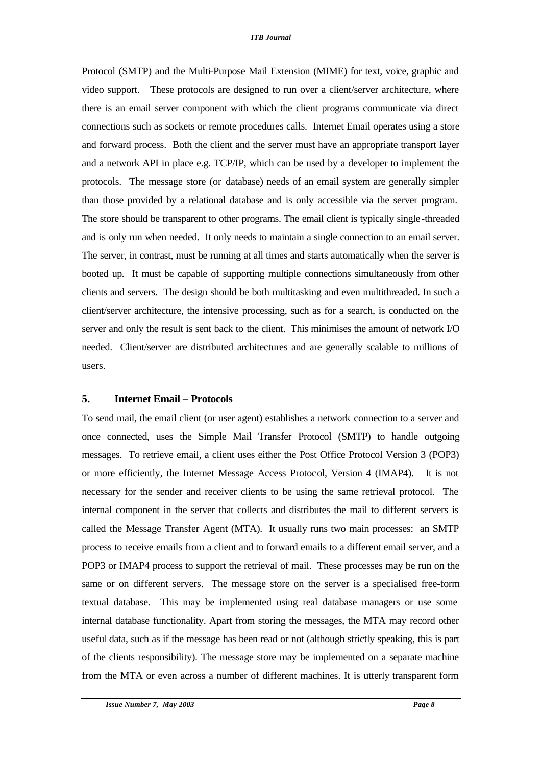Protocol (SMTP) and the Multi-Purpose Mail Extension (MIME) for text, voice, graphic and video support. These protocols are designed to run over a client/server architecture, where there is an email server component with which the client programs communicate via direct connections such as sockets or remote procedures calls. Internet Email operates using a store and forward process. Both the client and the server must have an appropriate transport layer and a network API in place e.g. TCP/IP, which can be used by a developer to implement the protocols. The message store (or database) needs of an email system are generally simpler than those provided by a relational database and is only accessible via the server program. The store should be transparent to other programs. The email client is typically single -threaded and is only run when needed. It only needs to maintain a single connection to an email server. The server, in contrast, must be running at all times and starts automatically when the server is booted up. It must be capable of supporting multiple connections simultaneously from other clients and servers. The design should be both multitasking and even multithreaded. In such a client/server architecture, the intensive processing, such as for a search, is conducted on the server and only the result is sent back to the client. This minimises the amount of network I/O needed. Client/server are distributed architectures and are generally scalable to millions of users.

#### **5. Internet Email – Protocols**

To send mail, the email client (or user agent) establishes a network connection to a server and once connected, uses the Simple Mail Transfer Protocol (SMTP) to handle outgoing messages. To retrieve email, a client uses either the Post Office Protocol Version 3 (POP3) or more efficiently, the Internet Message Access Protocol, Version 4 (IMAP4). It is not necessary for the sender and receiver clients to be using the same retrieval protocol. The internal component in the server that collects and distributes the mail to different servers is called the Message Transfer Agent (MTA). It usually runs two main processes: an SMTP process to receive emails from a client and to forward emails to a different email server, and a POP3 or IMAP4 process to support the retrieval of mail. These processes may be run on the same or on different servers. The message store on the server is a specialised free-form textual database. This may be implemented using real database managers or use some internal database functionality. Apart from storing the messages, the MTA may record other useful data, such as if the message has been read or not (although strictly speaking, this is part of the clients responsibility). The message store may be implemented on a separate machine from the MTA or even across a number of different machines. It is utterly transparent form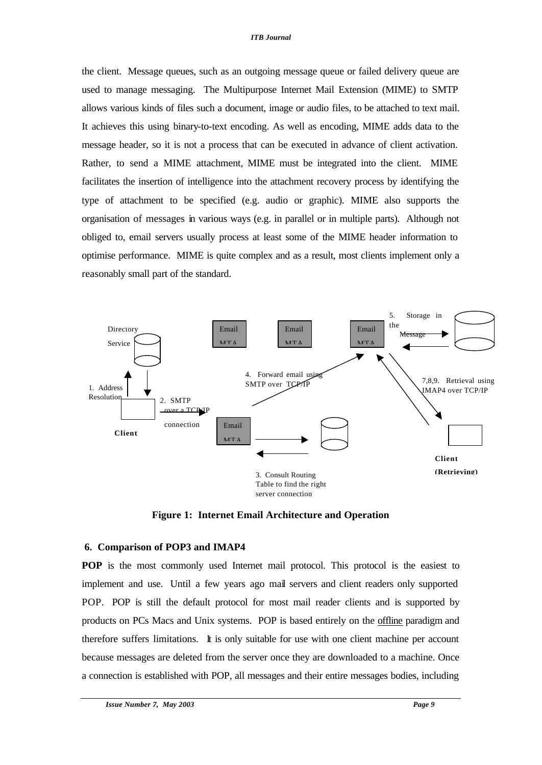the client. Message queues, such as an outgoing message queue or failed delivery queue are used to manage messaging. The Multipurpose Internet Mail Extension (MIME) to SMTP allows various kinds of files such a document, image or audio files, to be attached to text mail. It achieves this using binary-to-text encoding. As well as encoding, MIME adds data to the message header, so it is not a process that can be executed in advance of client activation. Rather, to send a MIME attachment, MIME must be integrated into the client. MIME facilitates the insertion of intelligence into the attachment recovery process by identifying the type of attachment to be specified (e.g. audio or graphic). MIME also supports the organisation of messages in various ways (e.g. in parallel or in multiple parts). Although not obliged to, email servers usually process at least some of the MIME header information to optimise performance. MIME is quite complex and as a result, most clients implement only a reasonably small part of the standard.



**Figure 1: Internet Email Architecture and Operation**

### **6. Comparison of POP3 and IMAP4**

**POP** is the most commonly used Internet mail protocol. This protocol is the easiest to implement and use. Until a few years ago mail servers and client readers only supported POP. POP is still the default protocol for most mail reader clients and is supported by products on PCs Macs and Unix systems. POP is based entirely on the offline paradigm and therefore suffers limitations. It is only suitable for use with one client machine per account because messages are deleted from the server once they are downloaded to a machine. Once a connection is established with POP, all messages and their entire messages bodies, including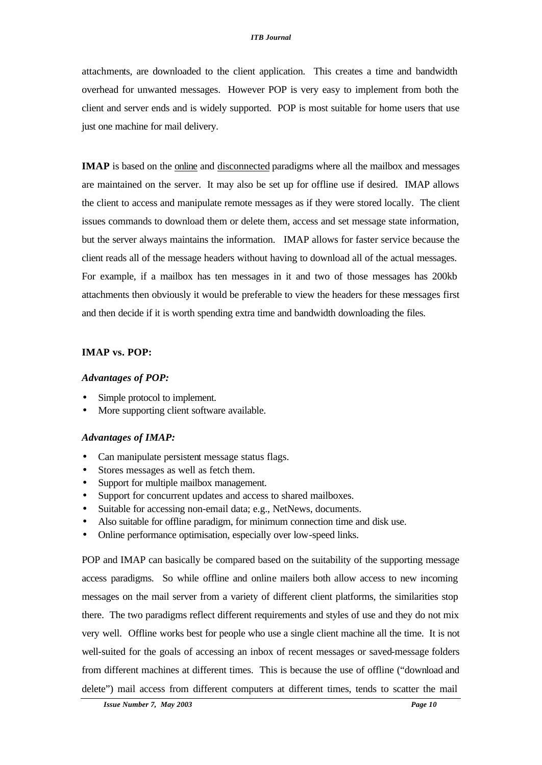attachments, are downloaded to the client application. This creates a time and bandwidth overhead for unwanted messages. However POP is very easy to implement from both the client and server ends and is widely supported. POP is most suitable for home users that use just one machine for mail delivery.

**IMAP** is based on the online and disconnected paradigms where all the mailbox and messages are maintained on the server. It may also be set up for offline use if desired. IMAP allows the client to access and manipulate remote messages as if they were stored locally. The client issues commands to download them or delete them, access and set message state information, but the server always maintains the information. IMAP allows for faster service because the client reads all of the message headers without having to download all of the actual messages. For example, if a mailbox has ten messages in it and two of those messages has 200kb attachments then obviously it would be preferable to view the headers for these messages first and then decide if it is worth spending extra time and bandwidth downloading the files.

### **IMAP vs. POP:**

#### *Advantages of POP:*

- Simple protocol to implement.
- More supporting client software available.

### *Advantages of IMAP:*

- Can manipulate persistent message status flags.
- Stores messages as well as fetch them.
- Support for multiple mailbox management.
- Support for concurrent updates and access to shared mailboxes.
- Suitable for accessing non-email data; e.g., NetNews, documents.
- Also suitable for offline paradigm, for minimum connection time and disk use.
- Online performance optimisation, especially over low-speed links.

POP and IMAP can basically be compared based on the suitability of the supporting message access paradigms. So while offline and online mailers both allow access to new incoming messages on the mail server from a variety of different client platforms, the similarities stop there. The two paradigms reflect different requirements and styles of use and they do not mix very well. Offline works best for people who use a single client machine all the time. It is not well-suited for the goals of accessing an inbox of recent messages or saved-message folders from different machines at different times. This is because the use of offline ("download and delete") mail access from different computers at different times, tends to scatter the mail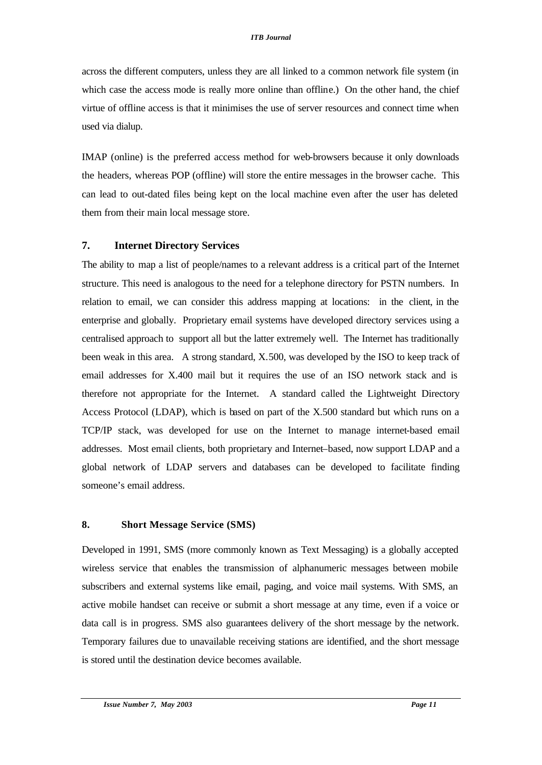across the different computers, unless they are all linked to a common network file system (in which case the access mode is really more online than offline.) On the other hand, the chief virtue of offline access is that it minimises the use of server resources and connect time when used via dialup.

IMAP (online) is the preferred access method for web-browsers because it only downloads the headers, whereas POP (offline) will store the entire messages in the browser cache. This can lead to out-dated files being kept on the local machine even after the user has deleted them from their main local message store.

## **7. Internet Directory Services**

The ability to map a list of people/names to a relevant address is a critical part of the Internet structure. This need is analogous to the need for a telephone directory for PSTN numbers. In relation to email, we can consider this address mapping at locations: in the client, in the enterprise and globally. Proprietary email systems have developed directory services using a centralised approach to support all but the latter extremely well. The Internet has traditionally been weak in this area. A strong standard, X.500, was developed by the ISO to keep track of email addresses for X.400 mail but it requires the use of an ISO network stack and is therefore not appropriate for the Internet. A standard called the Lightweight Directory Access Protocol (LDAP), which is based on part of the X.500 standard but which runs on a TCP/IP stack, was developed for use on the Internet to manage internet-based email addresses. Most email clients, both proprietary and Internet–based, now support LDAP and a global network of LDAP servers and databases can be developed to facilitate finding someone's email address.

## **8. Short Message Service (SMS)**

Developed in 1991, SMS (more commonly known as Text Messaging) is a globally accepted wireless service that enables the transmission of alphanumeric messages between mobile subscribers and external systems like email, paging, and voice mail systems. With SMS, an active mobile handset can receive or submit a short message at any time, even if a voice or data call is in progress. SMS also guarantees delivery of the short message by the network. Temporary failures due to unavailable receiving stations are identified, and the short message is stored until the destination device becomes available.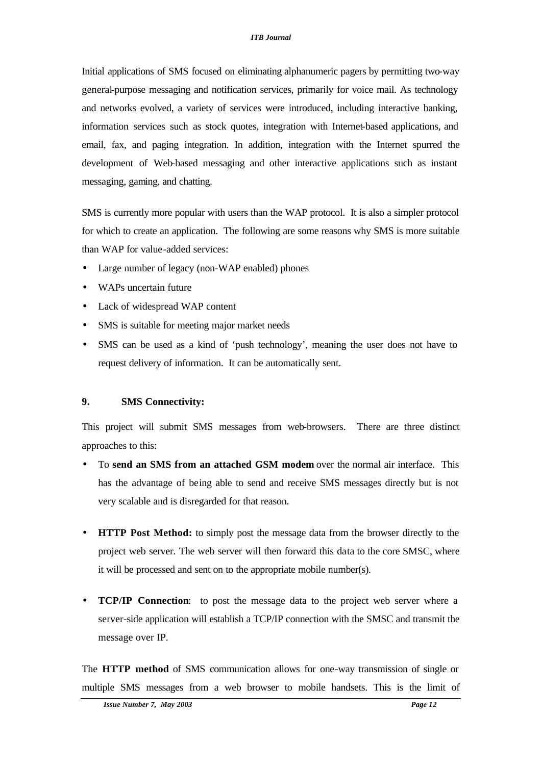Initial applications of SMS focused on eliminating alphanumeric pagers by permitting two-way general-purpose messaging and notification services, primarily for voice mail. As technology and networks evolved, a variety of services were introduced, including interactive banking, information services such as stock quotes, integration with Internet-based applications, and email, fax, and paging integration. In addition, integration with the Internet spurred the development of Web-based messaging and other interactive applications such as instant messaging, gaming, and chatting.

SMS is currently more popular with users than the WAP protocol. It is also a simpler protocol for which to create an application. The following are some reasons why SMS is more suitable than WAP for value-added services:

- Large number of legacy (non-WAP enabled) phones
- WAPs uncertain future
- Lack of widespread WAP content
- SMS is suitable for meeting major market needs
- SMS can be used as a kind of 'push technology', meaning the user does not have to request delivery of information. It can be automatically sent.

## **9. SMS Connectivity:**

This project will submit SMS messages from web-browsers. There are three distinct approaches to this:

- To **send an SMS from an attached GSM modem** over the normal air interface. This has the advantage of being able to send and receive SMS messages directly but is not very scalable and is disregarded for that reason.
- **HTTP Post Method:** to simply post the message data from the browser directly to the project web server. The web server will then forward this data to the core SMSC, where it will be processed and sent on to the appropriate mobile number(s).
- **TCP/IP Connection**: to post the message data to the project web server where a server-side application will establish a TCP/IP connection with the SMSC and transmit the message over IP.

The **HTTP method** of SMS communication allows for one-way transmission of single or multiple SMS messages from a web browser to mobile handsets. This is the limit of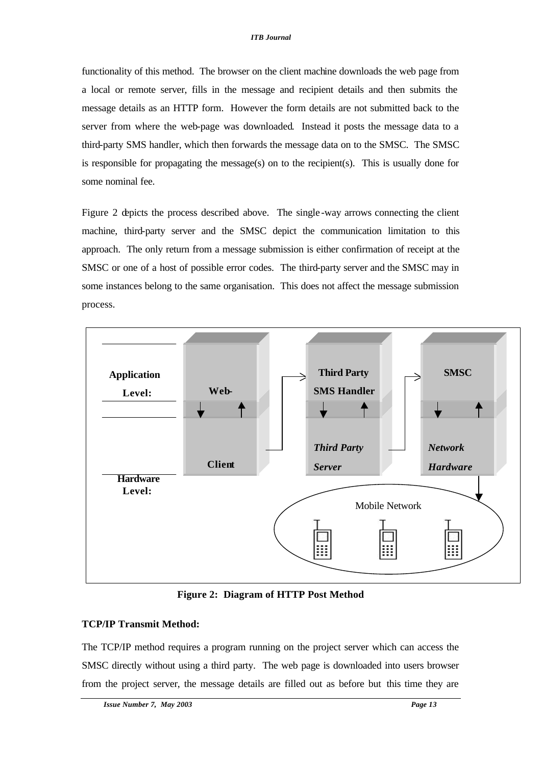functionality of this method. The browser on the client machine downloads the web page from a local or remote server, fills in the message and recipient details and then submits the message details as an HTTP form. However the form details are not submitted back to the server from where the web-page was downloaded. Instead it posts the message data to a third-party SMS handler, which then forwards the message data on to the SMSC. The SMSC is responsible for propagating the message(s) on to the recipient(s). This is usually done for some nominal fee.

Figure 2 depicts the process described above. The single -way arrows connecting the client machine, third-party server and the SMSC depict the communication limitation to this approach. The only return from a message submission is either confirmation of receipt at the SMSC or one of a host of possible error codes. The third-party server and the SMSC may in some instances belong to the same organisation. This does not affect the message submission process.



**Figure 2: Diagram of HTTP Post Method**

### **TCP/IP Transmit Method:**

The TCP/IP method requires a program running on the project server which can access the SMSC directly without using a third party. The web page is downloaded into users browser from the project server, the message details are filled out as before but this time they are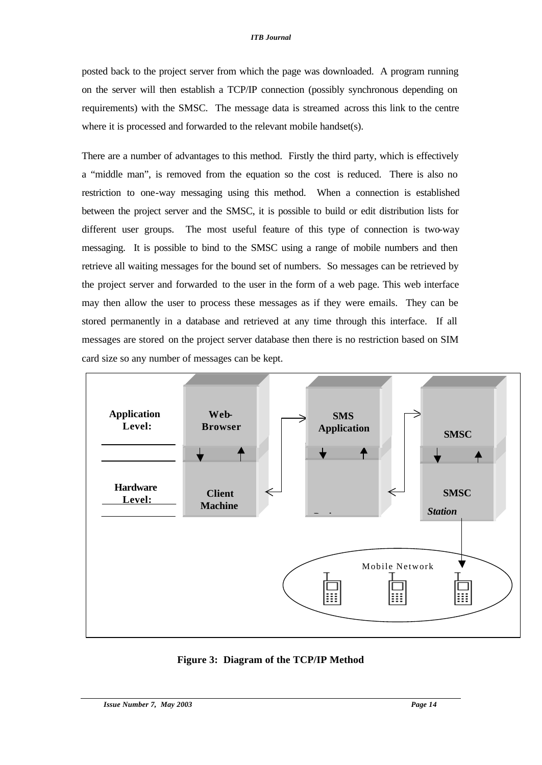posted back to the project server from which the page was downloaded. A program running on the server will then establish a TCP/IP connection (possibly synchronous depending on requirements) with the SMSC. The message data is streamed across this link to the centre where it is processed and forwarded to the relevant mobile handset(s).

There are a number of advantages to this method. Firstly the third party, which is effectively a "middle man", is removed from the equation so the cost is reduced. There is also no restriction to one-way messaging using this method. When a connection is established between the project server and the SMSC, it is possible to build or edit distribution lists for different user groups. The most useful feature of this type of connection is two-way messaging. It is possible to bind to the SMSC using a range of mobile numbers and then retrieve all waiting messages for the bound set of numbers. So messages can be retrieved by the project server and forwarded to the user in the form of a web page. This web interface may then allow the user to process these messages as if they were emails. They can be stored permanently in a database and retrieved at any time through this interface. If all messages are stored on the project server database then there is no restriction based on SIM card size so any number of messages can be kept.



**Figure 3: Diagram of the TCP/IP Method**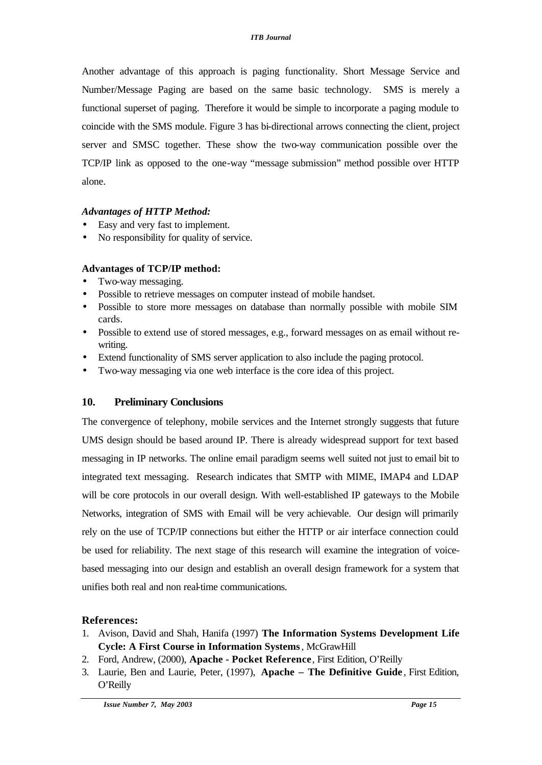Another advantage of this approach is paging functionality. Short Message Service and Number/Message Paging are based on the same basic technology. SMS is merely a functional superset of paging. Therefore it would be simple to incorporate a paging module to coincide with the SMS module. Figure 3 has bi-directional arrows connecting the client, project server and SMSC together. These show the two-way communication possible over the TCP/IP link as opposed to the one-way "message submission" method possible over HTTP alone.

# *Advantages of HTTP Method:*

- Easy and very fast to implement.
- No responsibility for quality of service.

# **Advantages of TCP/IP method:**

- Two-way messaging.
- Possible to retrieve messages on computer instead of mobile handset.
- Possible to store more messages on database than normally possible with mobile SIM cards.
- Possible to extend use of stored messages, e.g., forward messages on as email without rewriting.
- Extend functionality of SMS server application to also include the paging protocol.
- Two-way messaging via one web interface is the core idea of this project.

# **10. Preliminary Conclusions**

The convergence of telephony, mobile services and the Internet strongly suggests that future UMS design should be based around IP. There is already widespread support for text based messaging in IP networks. The online email paradigm seems well suited not just to email bit to integrated text messaging. Research indicates that SMTP with MIME, IMAP4 and LDAP will be core protocols in our overall design. With well-established IP gateways to the Mobile Networks, integration of SMS with Email will be very achievable. Our design will primarily rely on the use of TCP/IP connections but either the HTTP or air interface connection could be used for reliability. The next stage of this research will examine the integration of voicebased messaging into our design and establish an overall design framework for a system that unifies both real and non real-time communications.

# **References:**

- 1. Avison, David and Shah, Hanifa (1997) **The Information Systems Development Life Cycle: A First Course in Information Systems**, McGrawHill
- 2. Ford, Andrew, (2000), **Apache Pocket Reference**, First Edition, O'Reilly
- 3. Laurie, Ben and Laurie, Peter, (1997), **Apache The Definitive Guide** , First Edition, O'Reilly